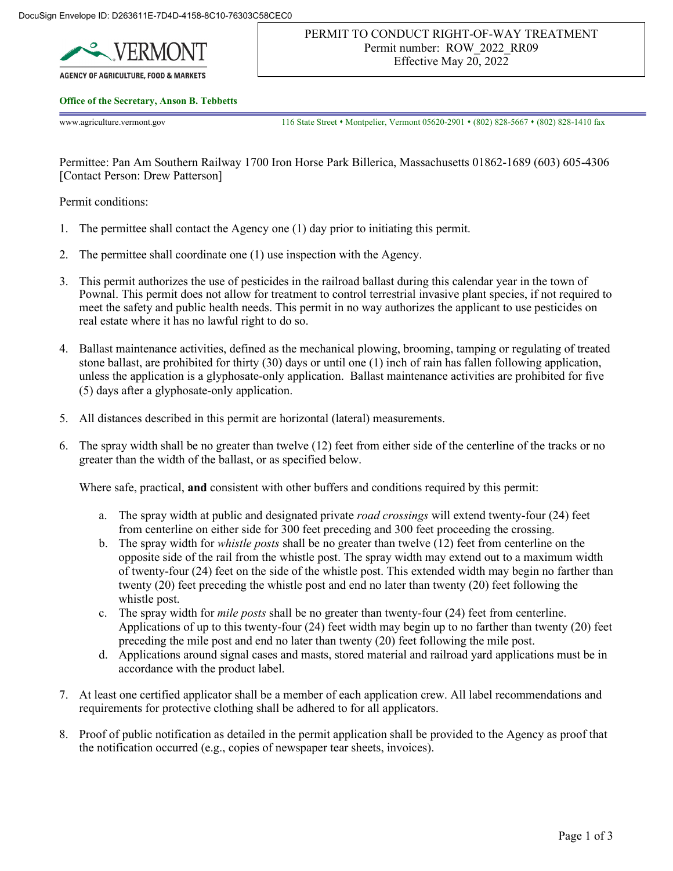

**AGENCY OF AGRICULTURE, FOOD & MARKETS** 

## **Office of the Secretary, Anson B. Tebbetts**

www.agriculture.vermont.gov 116 State Street • Montpelier, Vermont 05620-2901 • (802) 828-5667 • (802) 828-1410 fax

Permittee: Pan Am Southern Railway 1700 Iron Horse Park Billerica, Massachusetts 01862-1689 (603) 605-4306 [Contact Person: Drew Patterson]

Permit conditions:

- 1. The permittee shall contact the Agency one (1) day prior to initiating this permit.
- 2. The permittee shall coordinate one (1) use inspection with the Agency.
- 3. This permit authorizes the use of pesticides in the railroad ballast during this calendar year in the town of Pownal. This permit does not allow for treatment to control terrestrial invasive plant species, if not required to meet the safety and public health needs. This permit in no way authorizes the applicant to use pesticides on real estate where it has no lawful right to do so.
- 4. Ballast maintenance activities, defined as the mechanical plowing, brooming, tamping or regulating of treated stone ballast, are prohibited for thirty (30) days or until one (1) inch of rain has fallen following application, unless the application is a glyphosate-only application. Ballast maintenance activities are prohibited for five (5) days after a glyphosate-only application.
- 5. All distances described in this permit are horizontal (lateral) measurements.
- 6. The spray width shall be no greater than twelve (12) feet from either side of the centerline of the tracks or no greater than the width of the ballast, or as specified below.

Where safe, practical, **and** consistent with other buffers and conditions required by this permit:

- a. The spray width at public and designated private *road crossings* will extend twenty-four (24) feet from centerline on either side for 300 feet preceding and 300 feet proceeding the crossing.
- b. The spray width for *whistle posts* shall be no greater than twelve (12) feet from centerline on the opposite side of the rail from the whistle post. The spray width may extend out to a maximum width of twenty-four (24) feet on the side of the whistle post. This extended width may begin no farther than twenty (20) feet preceding the whistle post and end no later than twenty (20) feet following the whistle post.
- c. The spray width for *mile posts* shall be no greater than twenty-four (24) feet from centerline. Applications of up to this twenty-four (24) feet width may begin up to no farther than twenty (20) feet preceding the mile post and end no later than twenty (20) feet following the mile post.
- d. Applications around signal cases and masts, stored material and railroad yard applications must be in accordance with the product label.
- 7. At least one certified applicator shall be a member of each application crew. All label recommendations and requirements for protective clothing shall be adhered to for all applicators.
- 8. Proof of public notification as detailed in the permit application shall be provided to the Agency as proof that the notification occurred (e.g., copies of newspaper tear sheets, invoices).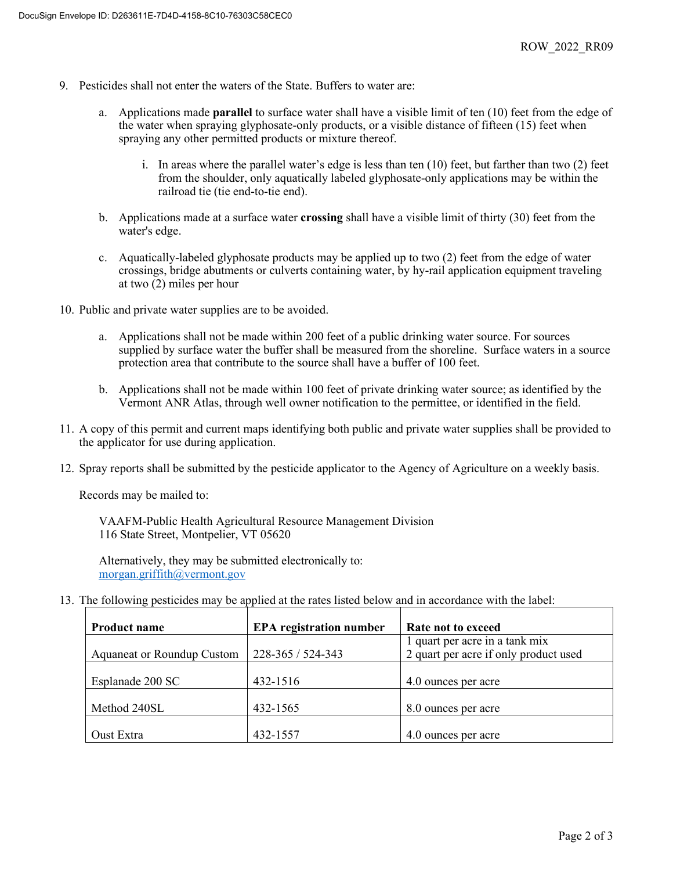- 9. Pesticides shall not enter the waters of the State. Buffers to water are:
	- a. Applications made **parallel** to surface water shall have a visible limit of ten (10) feet from the edge of the water when spraying glyphosate-only products, or a visible distance of fifteen (15) feet when spraying any other permitted products or mixture thereof.
		- i. In areas where the parallel water's edge is less than ten (10) feet, but farther than two (2) feet from the shoulder, only aquatically labeled glyphosate-only applications may be within the railroad tie (tie end-to-tie end).
	- b. Applications made at a surface water **crossing** shall have a visible limit of thirty (30) feet from the water's edge.
	- c. Aquatically-labeled glyphosate products may be applied up to two (2) feet from the edge of water crossings, bridge abutments or culverts containing water, by hy-rail application equipment traveling at two (2) miles per hour
- 10. Public and private water supplies are to be avoided.
	- a. Applications shall not be made within 200 feet of a public drinking water source. For sources supplied by surface water the buffer shall be measured from the shoreline. Surface waters in a source protection area that contribute to the source shall have a buffer of 100 feet.
	- b. Applications shall not be made within 100 feet of private drinking water source; as identified by the Vermont ANR Atlas, through well owner notification to the permittee, or identified in the field.
- 11. A copy of this permit and current maps identifying both public and private water supplies shall be provided to the applicator for use during application.
- 12. Spray reports shall be submitted by the pesticide applicator to the Agency of Agriculture on a weekly basis.

Records may be mailed to:

VAAFM-Public Health Agricultural Resource Management Division 116 State Street, Montpelier, VT 05620

Alternatively, they may be submitted electronically to: [morgan.griffith@vermont.gov](mailto:morgan.griffith@vermont.gov) 

13. The following pesticides may be applied at the rates listed below and in accordance with the label:

| <b>Product name</b>               | <b>EPA</b> registration number | Rate not to exceed                    |
|-----------------------------------|--------------------------------|---------------------------------------|
|                                   |                                | 1 quart per acre in a tank mix        |
| <b>Aquaneat or Roundup Custom</b> | 228-365 / 524-343              | 2 quart per acre if only product used |
|                                   |                                |                                       |
| Esplanade 200 SC                  | 432-1516                       | 4.0 ounces per acre                   |
|                                   |                                |                                       |
| Method 240SL                      | 432-1565                       | 8.0 ounces per acre                   |
|                                   |                                |                                       |
| Oust Extra                        | 432-1557                       | 4.0 ounces per acre                   |